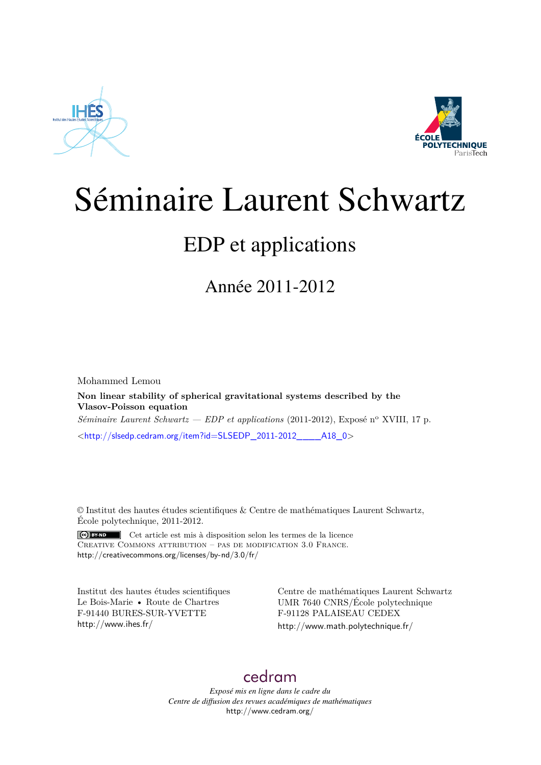



# Séminaire Laurent Schwartz

## EDP et applications

Année 2011-2012

Mohammed Lemou **Non linear stability of spherical gravitational systems described by the Vlasov-Poisson equation** *Séminaire Laurent Schwartz — EDP et applications* (2011-2012), Exposé n<sup>o</sup> XVIII, 17 p. <[http://slsedp.cedram.org/item?id=SLSEDP\\_2011-2012\\_\\_\\_\\_A18\\_0](http://slsedp.cedram.org/item?id=SLSEDP_2011-2012____A18_0)>

© Institut des hautes études scientifiques & Centre de mathématiques Laurent Schwartz, École polytechnique, 2011-2012.

 $(G)$  BY-ND Cet article est mis à disposition selon les termes de la licence Creative Commons attribution – pas de modification 3.0 France. <http://creativecommons.org/licenses/by-nd/3.0/fr/>

Institut des hautes études scientifiques Le Bois-Marie • Route de Chartres F-91440 BURES-SUR-YVETTE <http://www.ihes.fr/>

Centre de mathématiques Laurent Schwartz UMR 7640 CNRS/École polytechnique F-91128 PALAISEAU CEDEX <http://www.math.polytechnique.fr/>

### [cedram](http://www.cedram.org/)

*Exposé mis en ligne dans le cadre du Centre de diffusion des revues académiques de mathématiques* <http://www.cedram.org/>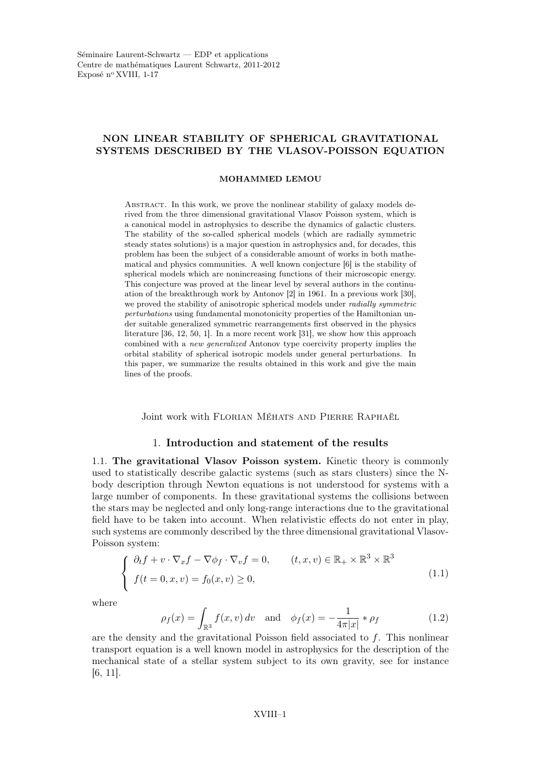#### NON LINEAR STABILITY OF SPHERICAL GRAVITATIONAL SYSTEMS DESCRIBED BY THE VLASOV-POISSON EQUATION

#### MOHAMMED LEMOU

Abstract. In this work, we prove the nonlinear stability of galaxy models derived from the three dimensional gravitational Vlasov Poisson system, which is a canonical model in astrophysics to describe the dynamics of galactic clusters. The stability of the so-called spherical models (which are radially symmetric steady states solutions) is a major question in astrophysics and, for decades, this problem has been the subject of a considerable amount of works in both mathematical and physics communities. A well known conjecture [6] is the stability of spherical models which are nonincreasing functions of their microscopic energy. This conjecture was proved at the linear level by several authors in the continuation of the breakthrough work by Antonov [2] in 1961. In a previous work [30], we proved the stability of anisotropic spherical models under *radially symmetric* perturbations using fundamental monotonicity properties of the Hamiltonian under suitable generalized symmetric rearrangements first observed in the physics literature [36, 12, 50, 1]. In a more recent work [31], we show how this approach combined with a new generalized Antonov type coercivity property implies the orbital stability of spherical isotropic models under general perturbations. In this paper, we summarize the results obtained in this work and give the main lines of the proofs.

Joint work with FLORIAN MÉHATS AND PIERRE RAPHAËL

#### 1. Introduction and statement of the results

1.1. The gravitational Vlasov Poisson system. Kinetic theory is commonly used to statistically describe galactic systems (such as stars clusters) since the Nbody description through Newton equations is not understood for systems with a large number of components. In these gravitational systems the collisions between the stars may be neglected and only long-range interactions due to the gravitational field have to be taken into account. When relativistic effects do not enter in play, such systems are commonly described by the three dimensional gravitational Vlasov-Poisson system:

$$
\begin{cases}\n\partial_t f + v \cdot \nabla_x f - \nabla \phi_f \cdot \nabla_v f = 0, & (t, x, v) \in \mathbb{R}_+ \times \mathbb{R}^3 \times \mathbb{R}^3 \\
f(t = 0, x, v) = f_0(x, v) \ge 0,\n\end{cases}
$$
\n(1.1)

where

$$
\rho_f(x) = \int_{\mathbb{R}^3} f(x, v) dv \text{ and } \phi_f(x) = -\frac{1}{4\pi|x|} * \rho_f \tag{1.2}
$$

are the density and the gravitational Poisson field associated to f. This nonlinear transport equation is a well known model in astrophysics for the description of the mechanical state of a stellar system subject to its own gravity, see for instance [6, 11].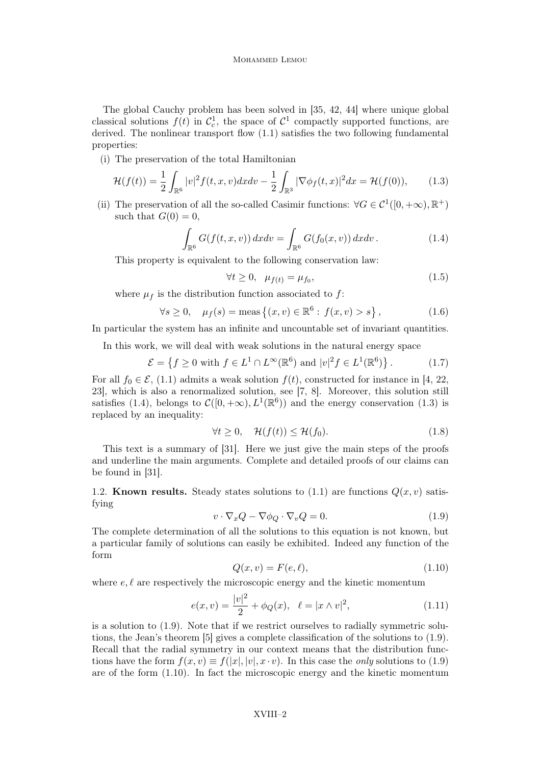The global Cauchy problem has been solved in [35, 42, 44] where unique global classical solutions  $f(t)$  in  $C_c^1$ , the space of  $C^1$  compactly supported functions, are derived. The nonlinear transport flow (1.1) satisfies the two following fundamental properties:

(i) The preservation of the total Hamiltonian

$$
\mathcal{H}(f(t)) = \frac{1}{2} \int_{\mathbb{R}^6} |v|^2 f(t, x, v) dx dv - \frac{1}{2} \int_{\mathbb{R}^3} |\nabla \phi_f(t, x)|^2 dx = \mathcal{H}(f(0)), \tag{1.3}
$$

(ii) The preservation of all the so-called Casimir functions:  $\forall G \in C^1([0, +\infty), \mathbb{R}^+)$ such that  $G(0) = 0$ .

$$
\int_{\mathbb{R}^6} G(f(t, x, v)) dx dv = \int_{\mathbb{R}^6} G(f_0(x, v)) dx dv.
$$
\n(1.4)

This property is equivalent to the following conservation law:

$$
\forall t \ge 0, \quad \mu_{f(t)} = \mu_{f_0}, \tag{1.5}
$$

where  $\mu_f$  is the distribution function associated to f:

$$
\forall s \ge 0, \quad \mu_f(s) = \text{meas} \left\{ (x, v) \in \mathbb{R}^6 : f(x, v) > s \right\},\tag{1.6}
$$

In particular the system has an infinite and uncountable set of invariant quantities.

In this work, we will deal with weak solutions in the natural energy space

$$
\mathcal{E} = \left\{ f \ge 0 \text{ with } f \in L^1 \cap L^\infty(\mathbb{R}^6) \text{ and } |v|^2 f \in L^1(\mathbb{R}^6) \right\}. \tag{1.7}
$$

For all  $f_0 \in \mathcal{E}$ , (1.1) admits a weak solution  $f(t)$ , constructed for instance in [4, 22, 23], which is also a renormalized solution, see [7, 8]. Moreover, this solution still satisfies (1.4), belongs to  $\mathcal{C}([0, +\infty), L^1(\mathbb{R}^6))$  and the energy conservation (1.3) is replaced by an inequality:

$$
\forall t \ge 0, \quad \mathcal{H}(f(t)) \le \mathcal{H}(f_0). \tag{1.8}
$$

This text is a summary of [31]. Here we just give the main steps of the proofs and underline the main arguments. Complete and detailed proofs of our claims can be found in [31].

1.2. Known results. Steady states solutions to  $(1.1)$  are functions  $Q(x, v)$  satisfying

$$
v \cdot \nabla_x Q - \nabla \phi_Q \cdot \nabla_v Q = 0.
$$
\n(1.9)

The complete determination of all the solutions to this equation is not known, but a particular family of solutions can easily be exhibited. Indeed any function of the form

$$
Q(x,v) = F(e, \ell),\tag{1.10}
$$

where  $e, \ell$  are respectively the microscopic energy and the kinetic momentum

$$
e(x,v) = \frac{|v|^2}{2} + \phi_Q(x), \quad \ell = |x \wedge v|^2,
$$
\n(1.11)

is a solution to (1.9). Note that if we restrict ourselves to radially symmetric solutions, the Jean's theorem [5] gives a complete classification of the solutions to (1.9). Recall that the radial symmetry in our context means that the distribution functions have the form  $f(x, v) \equiv f(|x|, |v|, x \cdot v)$ . In this case the *only* solutions to (1.9) are of the form (1.10). In fact the microscopic energy and the kinetic momentum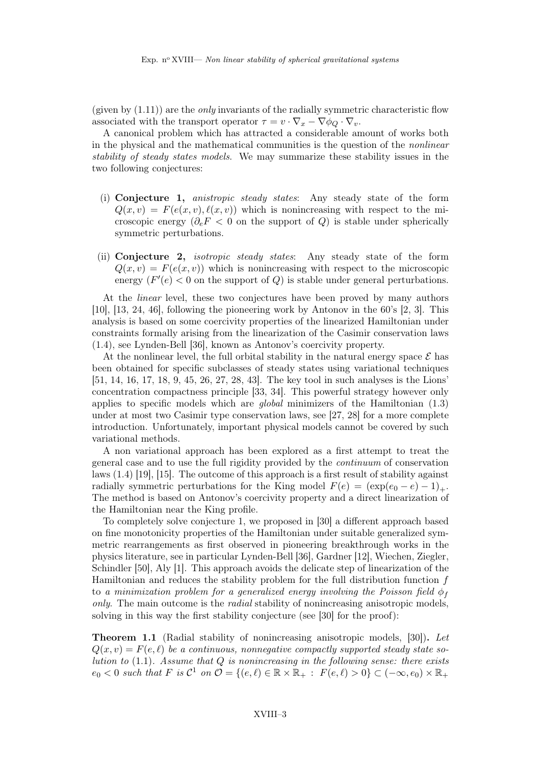(given by  $(1.11)$ ) are the *only* invariants of the radially symmetric characteristic flow associated with the transport operator  $\tau = v \cdot \nabla_x - \nabla \phi_Q \cdot \nabla_v$ .

A canonical problem which has attracted a considerable amount of works both in the physical and the mathematical communities is the question of the nonlinear stability of steady states models. We may summarize these stability issues in the two following conjectures:

- (i) Conjecture 1, anistropic steady states: Any steady state of the form  $Q(x, v) = F(e(x, v), \ell(x, v))$  which is nonincreasing with respect to the microscopic energy ( $\partial_e F < 0$  on the support of Q) is stable under spherically symmetric perturbations.
- (ii) Conjecture 2, isotropic steady states: Any steady state of the form  $Q(x, v) = F(e(x, v))$  which is nonincreasing with respect to the microscopic energy  $(F'(e) < 0$  on the support of Q is stable under general perturbations.

At the *linear* level, these two conjectures have been proved by many authors [10], [13, 24, 46], following the pioneering work by Antonov in the 60's [2, 3]. This analysis is based on some coercivity properties of the linearized Hamiltonian under constraints formally arising from the linearization of the Casimir conservation laws (1.4), see Lynden-Bell [36], known as Antonov's coercivity property.

At the nonlinear level, the full orbital stability in the natural energy space  $\mathcal E$  has been obtained for specific subclasses of steady states using variational techniques [51, 14, 16, 17, 18, 9, 45, 26, 27, 28, 43]. The key tool in such analyses is the Lions' concentration compactness principle [33, 34]. This powerful strategy however only applies to specific models which are global minimizers of the Hamiltonian (1.3) under at most two Casimir type conservation laws, see [27, 28] for a more complete introduction. Unfortunately, important physical models cannot be covered by such variational methods.

A non variational approach has been explored as a first attempt to treat the general case and to use the full rigidity provided by the continuum of conservation laws (1.4) [19], [15]. The outcome of this approach is a first result of stability against radially symmetric perturbations for the King model  $F(e) = (\exp(e_0 - e) - 1)_+$ . The method is based on Antonov's coercivity property and a direct linearization of the Hamiltonian near the King profile.

To completely solve conjecture 1, we proposed in [30] a different approach based on fine monotonicity properties of the Hamiltonian under suitable generalized symmetric rearrangements as first observed in pioneering breakthrough works in the physics literature, see in particular Lynden-Bell [36], Gardner [12], Wiechen, Ziegler, Schindler [50], Aly [1]. This approach avoids the delicate step of linearization of the Hamiltonian and reduces the stability problem for the full distribution function  $f$ to a minimization problem for a generalized energy involving the Poisson field  $\phi_f$ only. The main outcome is the radial stability of nonincreasing anisotropic models, solving in this way the first stability conjecture (see [30] for the proof):

Theorem 1.1 (Radial stability of nonincreasing anisotropic models, [30]). Let  $Q(x, v) = F(e, \ell)$  be a continuous, nonnegative compactly supported steady state solution to  $(1.1)$ . Assume that Q is nonincreasing in the following sense: there exists  $e_0 < 0$  such that  $F$  is  $C^1$  on  $\mathcal{O} = \{(e,\ell) \in \mathbb{R} \times \mathbb{R}_+ : F(e,\ell) > 0\} \subset (-\infty,e_0) \times \mathbb{R}_+$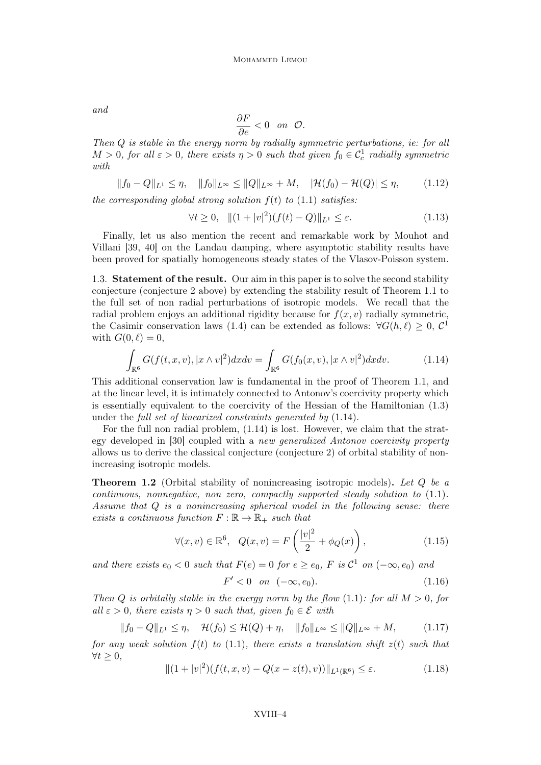and

$$
\frac{\partial F}{\partial e} < 0 \quad \text{on} \quad \mathcal{O}.
$$

Then Q is stable in the energy norm by radially symmetric perturbations, ie: for all  $M > 0$ , for all  $\varepsilon > 0$ , there exists  $\eta > 0$  such that given  $f_0 \in C_c^1$  radially symmetric with

$$
||f_0 - Q||_{L^1} \le \eta, \quad ||f_0||_{L^\infty} \le ||Q||_{L^\infty} + M, \quad |\mathcal{H}(f_0) - \mathcal{H}(Q)| \le \eta, \tag{1.12}
$$

the corresponding global strong solution  $f(t)$  to  $(1.1)$  satisfies:

$$
\forall t \ge 0, \quad || (1+|v|^2)(f(t)-Q)||_{L^1} \le \varepsilon. \tag{1.13}
$$

Finally, let us also mention the recent and remarkable work by Mouhot and Villani [39, 40] on the Landau damping, where asymptotic stability results have been proved for spatially homogeneous steady states of the Vlasov-Poisson system.

1.3. Statement of the result. Our aim in this paper is to solve the second stability conjecture (conjecture 2 above) by extending the stability result of Theorem 1.1 to the full set of non radial perturbations of isotropic models. We recall that the radial problem enjoys an additional rigidity because for  $f(x, v)$  radially symmetric, the Casimir conservation laws (1.4) can be extended as follows:  $\forall G(h,\ell) \geq 0, C^1$ with  $G(0, \ell) = 0$ ,

$$
\int_{\mathbb{R}^6} G(f(t, x, v), |x \wedge v|^2) dx dv = \int_{\mathbb{R}^6} G(f_0(x, v), |x \wedge v|^2) dx dv.
$$
\n(1.14)

This additional conservation law is fundamental in the proof of Theorem 1.1, and at the linear level, it is intimately connected to Antonov's coercivity property which is essentially equivalent to the coercivity of the Hessian of the Hamiltonian (1.3) under the full set of linearized constraints generated by (1.14).

For the full non radial problem, (1.14) is lost. However, we claim that the strategy developed in [30] coupled with a new generalized Antonov coercivity property allows us to derive the classical conjecture (conjecture 2) of orbital stability of nonincreasing isotropic models.

**Theorem 1.2** (Orbital stability of nonincreasing isotropic models). Let  $Q$  be a  $continuous, nonnegative, non-zero, compactly supported steady solution to  $(1.1)$ .$ Assume that Q is a nonincreasing spherical model in the following sense: there exists a continuous function  $F : \mathbb{R} \to \mathbb{R}_+$  such that

$$
\forall (x,v) \in \mathbb{R}^6, \quad Q(x,v) = F\left(\frac{|v|^2}{2} + \phi_Q(x)\right),\tag{1.15}
$$

and there exists  $e_0 < 0$  such that  $F(e) = 0$  for  $e \ge e_0$ , F is  $C^1$  on  $(-\infty, e_0)$  and

$$
F' < 0 \quad on \quad (-\infty, e_0). \tag{1.16}
$$

Then Q is orbitally stable in the energy norm by the flow  $(1.1)$ : for all  $M > 0$ , for all  $\varepsilon > 0$ , there exists  $\eta > 0$  such that, given  $f_0 \in \mathcal{E}$  with

$$
||f_0 - Q||_{L^1} \le \eta, \quad \mathcal{H}(f_0) \le \mathcal{H}(Q) + \eta, \quad ||f_0||_{L^\infty} \le ||Q||_{L^\infty} + M,\tag{1.17}
$$

for any weak solution  $f(t)$  to (1.1), there exists a translation shift  $z(t)$  such that  $\forall t \geq 0,$ 

$$
||(1+|v|^2)(f(t,x,v)-Q(x-z(t),v))||_{L^1(\mathbb{R}^6)} \leq \varepsilon.
$$
\n(1.18)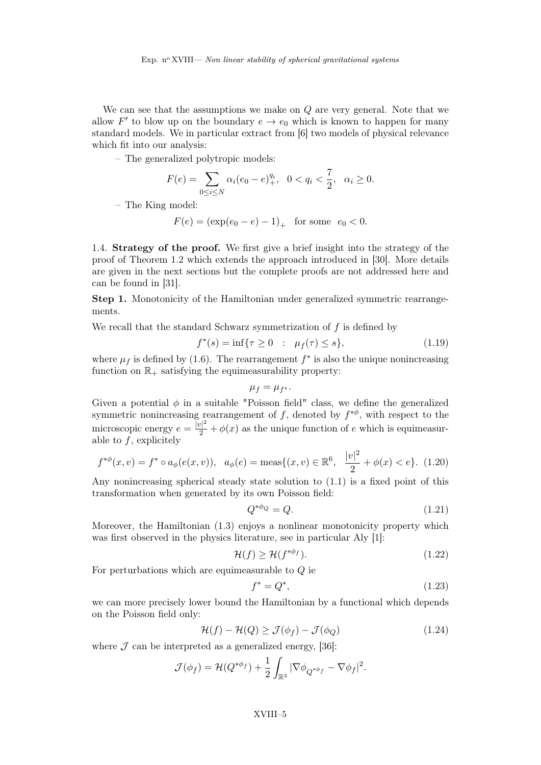We can see that the assumptions we make on  $Q$  are very general. Note that we allow F' to blow up on the boundary  $e \to e_0$  which is known to happen for many standard models. We in particular extract from [6] two models of physical relevance which fit into our analysis:

– The generalized polytropic models:

$$
F(e) = \sum_{0 \le i \le N} \alpha_i (e_0 - e)_+^{q_i}, \ \ 0 < q_i < \frac{7}{2}, \ \ \alpha_i \ge 0.
$$

– The King model:

$$
F(e) = (\exp(e_0 - e) - 1)_+ \text{ for some } e_0 < 0.
$$

1.4. Strategy of the proof. We first give a brief insight into the strategy of the proof of Theorem 1.2 which extends the approach introduced in [30]. More details are given in the next sections but the complete proofs are not addressed here and can be found in [31].

Step 1. Monotonicity of the Hamiltonian under generalized symmetric rearrangements.

We recall that the standard Schwarz symmetrization of  $f$  is defined by

$$
f^*(s) = \inf\{\tau \ge 0 \ : \ \mu_f(\tau) \le s\},\tag{1.19}
$$

where  $\mu_f$  is defined by (1.6). The rearrangement  $f^*$  is also the unique nonincreasing function on  $\mathbb{R}_+$  satisfying the equimeasurability property:

$$
\mu_f=\mu_{f^*}.
$$

Given a potential  $\phi$  in a suitable "Poisson field" class, we define the generalized symmetric nonincreasing rearrangement of f, denoted by  $f^{*\phi}$ , with respect to the microscopic energy  $e = \frac{|v|^2}{2} + \phi(x)$  as the unique function of e which is equimeasurable to  $f$ , explicitely

$$
f^{*\phi}(x,v) = f^* \circ a_{\phi}(e(x,v)), \quad a_{\phi}(e) = \text{meas}\{(x,v) \in \mathbb{R}^6, \quad \frac{|v|^2}{2} + \phi(x) < e\}. \tag{1.20}
$$

Any nonincreasing spherical steady state solution to (1.1) is a fixed point of this transformation when generated by its own Poisson field:

$$
Q^{*\phi_Q} = Q.\tag{1.21}
$$

Moreover, the Hamiltonian (1.3) enjoys a nonlinear monotonicity property which was first observed in the physics literature, see in particular Aly [1]:

$$
\mathcal{H}(f) \ge \mathcal{H}(f^{*\phi_f}).\tag{1.22}
$$

For perturbations which are equimeasurable to  $Q$  ie

$$
f^* = Q^*,\tag{1.23}
$$

we can more precisely lower bound the Hamiltonian by a functional which depends on the Poisson field only:

$$
\mathcal{H}(f) - \mathcal{H}(Q) \ge \mathcal{J}(\phi_f) - \mathcal{J}(\phi_Q) \tag{1.24}
$$

where  $\mathcal J$  can be interpreted as a generalized energy, [36]:

$$
\mathcal{J}(\phi_f) = \mathcal{H}(Q^{*\phi_f}) + \frac{1}{2} \int_{\mathbb{R}^3} |\nabla \phi_{Q^{*\phi_f}} - \nabla \phi_f|^2.
$$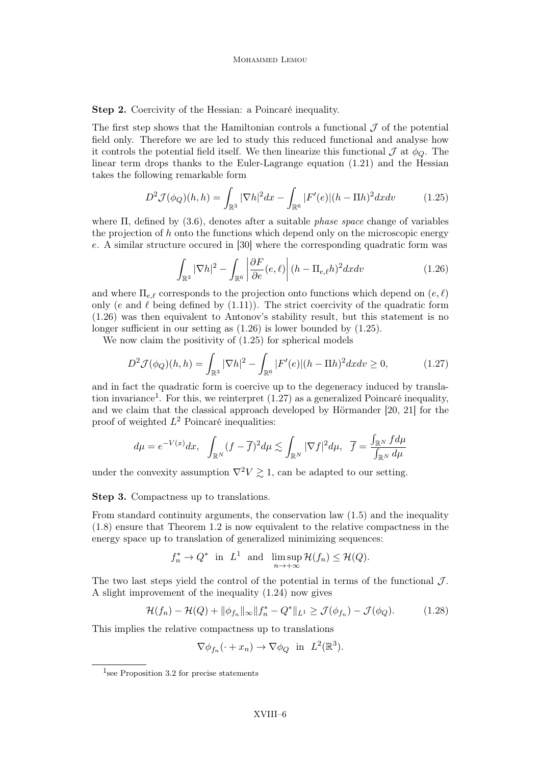Step 2. Coercivity of the Hessian: a Poincaré inequality.

The first step shows that the Hamiltonian controls a functional  $\mathcal J$  of the potential field only. Therefore we are led to study this reduced functional and analyse how it controls the potential field itself. We then linearize this functional  $\mathcal J$  at  $\phi_O$ . The linear term drops thanks to the Euler-Lagrange equation (1.21) and the Hessian takes the following remarkable form

$$
D^{2} \mathcal{J}(\phi_{Q})(h,h) = \int_{\mathbb{R}^{3}} |\nabla h|^{2} dx - \int_{\mathbb{R}^{6}} |F'(e)|(h - \Pi h)^{2} dx dv \qquad (1.25)
$$

where  $\Pi$ , defined by (3.6), denotes after a suitable *phase space* change of variables the projection of  $h$  onto the functions which depend only on the microscopic energy e. A similar structure occured in [30] where the corresponding quadratic form was

$$
\int_{\mathbb{R}^3} |\nabla h|^2 - \int_{\mathbb{R}^6} \left| \frac{\partial F}{\partial e}(e,\ell) \right| (h - \Pi_{e,\ell} h)^2 dx dv \tag{1.26}
$$

and where  $\Pi_{e,\ell}$  corresponds to the projection onto functions which depend on  $(e, \ell)$ only (e and  $\ell$  being defined by (1.11)). The strict coercivity of the quadratic form (1.26) was then equivalent to Antonov's stability result, but this statement is no longer sufficient in our setting as (1.26) is lower bounded by (1.25).

We now claim the positivity of (1.25) for spherical models

$$
D^{2} \mathcal{J}(\phi_{Q})(h,h) = \int_{\mathbb{R}^{3}} |\nabla h|^{2} - \int_{\mathbb{R}^{6}} |F'(e)|(h - \Pi h)^{2} dx dv \ge 0, \qquad (1.27)
$$

and in fact the quadratic form is coercive up to the degeneracy induced by translation invariance<sup>1</sup>. For this, we reinterpret  $(1.27)$  as a generalized Poincaré inequality, and we claim that the classical approach developed by Hörmander [20, 21] for the proof of weighted  $L^2$  Poincaré inequalities:

$$
d\mu=e^{-V(x)}dx,\ \ \int_{\mathbb{R}^N}(f-\overline{f})^2d\mu\lesssim\int_{\mathbb{R}^N}|\nabla f|^2d\mu,\ \ \overline{f}=\frac{\int_{\mathbb{R}^N}fd\mu}{\int_{\mathbb{R}^N}d\mu}
$$

under the convexity assumption  $\nabla^2 V \geq 1$ , can be adapted to our setting.

Step 3. Compactness up to translations.

From standard continuity arguments, the conservation law (1.5) and the inequality (1.8) ensure that Theorem 1.2 is now equivalent to the relative compactness in the energy space up to translation of generalized minimizing sequences:

$$
f_n^* \to Q^*
$$
 in  $L^1$  and  $\limsup_{n \to +\infty} \mathcal{H}(f_n) \leq \mathcal{H}(Q)$ .

The two last steps yield the control of the potential in terms of the functional  $\mathcal{J}$ . A slight improvement of the inequality (1.24) now gives

$$
\mathcal{H}(f_n) - \mathcal{H}(Q) + \|\phi_{f_n}\|_{\infty} \|f_n^* - Q^*\|_{L^1} \ge \mathcal{J}(\phi_{f_n}) - \mathcal{J}(\phi_Q). \tag{1.28}
$$

This implies the relative compactness up to translations

$$
\nabla \phi_{f_n}(\cdot + x_n) \to \nabla \phi_Q \text{ in } L^2(\mathbb{R}^3).
$$

<sup>&</sup>lt;sup>1</sup>see Proposition 3.2 for precise statements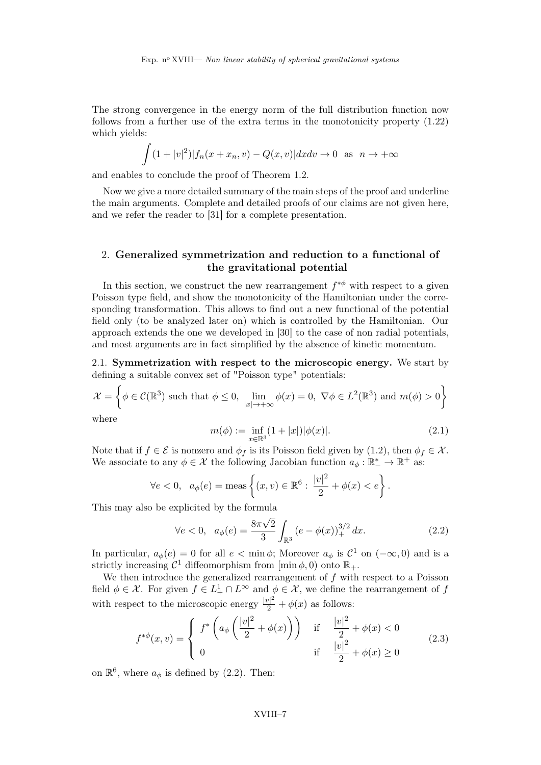The strong convergence in the energy norm of the full distribution function now follows from a further use of the extra terms in the monotonicity property (1.22) which yields:

$$
\int (1+|v|^2)|f_n(x+x_n,v) - Q(x,v)|dxdv \to 0 \text{ as } n \to +\infty
$$

and enables to conclude the proof of Theorem 1.2.

Now we give a more detailed summary of the main steps of the proof and underline the main arguments. Complete and detailed proofs of our claims are not given here, and we refer the reader to [31] for a complete presentation.

#### 2. Generalized symmetrization and reduction to a functional of the gravitational potential

In this section, we construct the new rearrangement  $f^{*\phi}$  with respect to a given Poisson type field, and show the monotonicity of the Hamiltonian under the corresponding transformation. This allows to find out a new functional of the potential field only (to be analyzed later on) which is controlled by the Hamiltonian. Our approach extends the one we developed in [30] to the case of non radial potentials, and most arguments are in fact simplified by the absence of kinetic momentum.

2.1. Symmetrization with respect to the microscopic energy. We start by defining a suitable convex set of "Poisson type" potentials:

$$
\mathcal{X} = \left\{ \phi \in \mathcal{C}(\mathbb{R}^3) \text{ such that } \phi \le 0, \lim_{|x| \to +\infty} \phi(x) = 0, \ \nabla \phi \in L^2(\mathbb{R}^3) \text{ and } m(\phi) > 0 \right\}
$$

where

$$
m(\phi) := \inf_{x \in \mathbb{R}^3} (1 + |x|) |\phi(x)|.
$$
 (2.1)

Note that if  $f \in \mathcal{E}$  is nonzero and  $\phi_f$  is its Poisson field given by (1.2), then  $\phi_f \in \mathcal{X}$ . We associate to any  $\phi \in \mathcal{X}$  the following Jacobian function  $a_{\phi}: \mathbb{R}^*_{-} \to \mathbb{R}^+$  as:

$$
\forall e < 0, \ a_{\phi}(e) = \text{meas}\left\{ (x, v) \in \mathbb{R}^6 : \frac{|v|^2}{2} + \phi(x) < e \right\}.
$$

This may also be explicited by the formula

$$
\forall e < 0, \ \ a_{\phi}(e) = \frac{8\pi\sqrt{2}}{3} \int_{\mathbb{R}^3} \left( e - \phi(x) \right)_+^{3/2} dx. \tag{2.2}
$$

In particular,  $a_{\phi}(e) = 0$  for all  $e < \min \phi$ ; Moreover  $a_{\phi}$  is  $\mathcal{C}^1$  on  $(-\infty, 0)$  and is a strictly increasing  $\mathcal{C}^1$  diffeomorphism from  $[\min \phi, 0)$  onto  $\mathbb{R}_+$ .

We then introduce the generalized rearrangement of  $f$  with respect to a Poisson field  $\phi \in \mathcal{X}$ . For given  $f \in L^1_+ \cap L^{\infty}$  and  $\phi \in \mathcal{X}$ , we define the rearrangement of f with respect to the microscopic energy  $\frac{|v|^2}{2} + \phi(x)$  as follows:

$$
f^{*\phi}(x,v) = \begin{cases} f^* \left( a_\phi \left( \frac{|v|^2}{2} + \phi(x) \right) \right) & \text{if } \frac{|v|^2}{2} + \phi(x) < 0\\ 0 & \text{if } \frac{|v|^2}{2} + \phi(x) \ge 0 \end{cases}
$$
 (2.3)

on  $\mathbb{R}^6$ , where  $a_{\phi}$  is defined by (2.2). Then: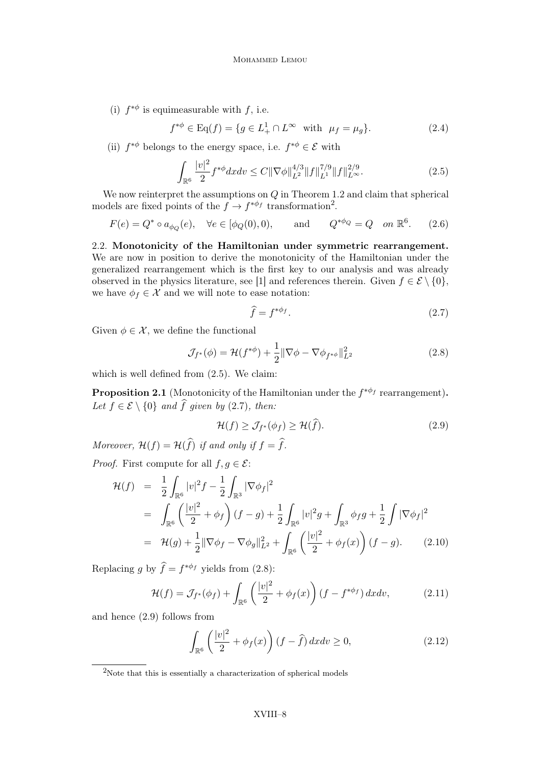(i)  $f^{*\phi}$  is equimeasurable with f, i.e.

$$
f^{*\phi} \in \text{Eq}(f) = \{ g \in L^1_+ \cap L^{\infty} \text{ with } \mu_f = \mu_g \}. \tag{2.4}
$$

(ii)  $f^{*\phi}$  belongs to the energy space, i.e.  $f^{*\phi} \in \mathcal{E}$  with

$$
\int_{\mathbb{R}^6} \frac{|v|^2}{2} f^{*\phi} dx dv \le C \| \nabla \phi \|_{L^2}^{4/3} \| f \|_{L^1}^{7/9} \| f \|_{L^\infty}^{2/9}.
$$
\n(2.5)

We now reinterpret the assumptions on  $Q$  in Theorem 1.2 and claim that spherical models are fixed points of the  $f \to f^{*\phi_f}$  transformation<sup>2</sup>.

$$
F(e) = Q^* \circ a_{\phi_Q}(e), \quad \forall e \in [\phi_Q(0), 0), \quad \text{and} \quad Q^{*\phi_Q} = Q \quad on \ \mathbb{R}^6. \tag{2.6}
$$

2.2. Monotonicity of the Hamiltonian under symmetric rearrangement. We are now in position to derive the monotonicity of the Hamiltonian under the generalized rearrangement which is the first key to our analysis and was already observed in the physics literature, see [1] and references therein. Given  $f \in \mathcal{E} \setminus \{0\}$ , we have  $\phi_f \in \mathcal{X}$  and we will note to ease notation:

$$
\widehat{f} = f^{*\phi_f}.\tag{2.7}
$$

Given  $\phi \in \mathcal{X}$ , we define the functional

$$
\mathcal{J}_{f^*}(\phi) = \mathcal{H}(f^{*\phi}) + \frac{1}{2} \|\nabla \phi - \nabla \phi_{f^{*\phi}}\|_{L^2}^2
$$
 (2.8)

which is well defined from  $(2.5)$ . We claim:

**Proposition 2.1** (Monotonicity of the Hamiltonian under the  $f^{*\phi_f}$  rearrangement). Let  $f \in \mathcal{E} \setminus \{0\}$  and  $\widehat{f}$  given by (2.7), then:

$$
\mathcal{H}(f) \ge \mathcal{J}_{f^*}(\phi_f) \ge \mathcal{H}(\hat{f}).\tag{2.9}
$$

Moreover,  $\mathcal{H}(f) = \mathcal{H}(\widehat{f})$  if and only if  $f = \widehat{f}$ .

*Proof.* First compute for all  $f, g \in \mathcal{E}$ :

$$
\mathcal{H}(f) = \frac{1}{2} \int_{\mathbb{R}^6} |v|^2 f - \frac{1}{2} \int_{\mathbb{R}^3} |\nabla \phi_f|^2
$$
  
\n
$$
= \int_{\mathbb{R}^6} \left( \frac{|v|^2}{2} + \phi_f \right) (f - g) + \frac{1}{2} \int_{\mathbb{R}^6} |v|^2 g + \int_{\mathbb{R}^3} \phi_f g + \frac{1}{2} \int |\nabla \phi_f|^2
$$
  
\n
$$
= \mathcal{H}(g) + \frac{1}{2} ||\nabla \phi_f - \nabla \phi_g||_{L^2}^2 + \int_{\mathbb{R}^6} \left( \frac{|v|^2}{2} + \phi_f(x) \right) (f - g). \tag{2.10}
$$

Replacing g by  $\hat{f} = f^{*\phi_f}$  yields from (2.8):

$$
\mathcal{H}(f) = \mathcal{J}_{f^*}(\phi_f) + \int_{\mathbb{R}^6} \left( \frac{|v|^2}{2} + \phi_f(x) \right) (f - f^{*\phi_f}) dx dv, \tag{2.11}
$$

and hence (2.9) follows from

$$
\int_{\mathbb{R}^6} \left(\frac{|v|^2}{2} + \phi_f(x)\right) (f - \hat{f}) dx dv \ge 0,
$$
\n(2.12)

 $2$ Note that this is essentially a characterization of spherical models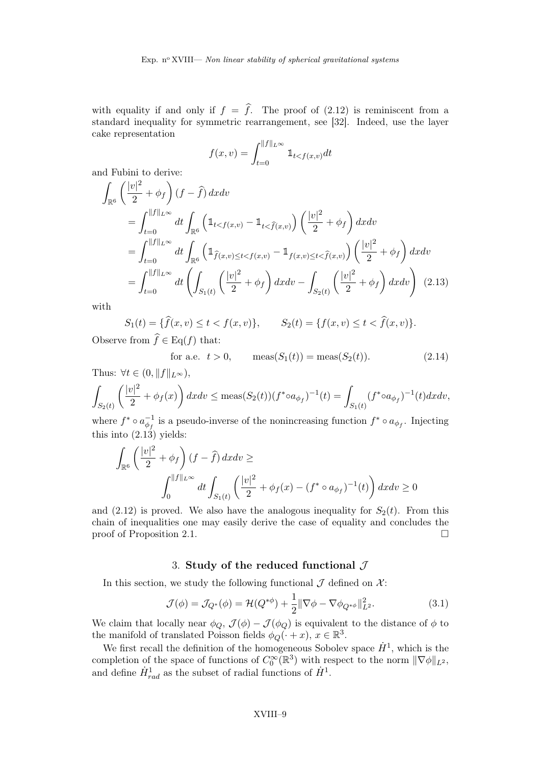with equality if and only if  $f = \hat{f}$ . The proof of (2.12) is reminiscent from a standard inequality for symmetric rearrangement, see [32]. Indeed, use the layer cake representation

$$
f(x,v) = \int_{t=0}^{\|f\|_{L^{\infty}}} \mathbb{1}_{t < f(x,v)} dt
$$

and Fubini to derive:

$$
\int_{\mathbb{R}^{6}} \left( \frac{|v|^{2}}{2} + \phi_{f} \right) (f - \hat{f}) \, dxdv
$$
\n
$$
= \int_{t=0}^{||f||_{L^{\infty}}} dt \int_{\mathbb{R}^{6}} \left( \mathbb{1}_{t < f(x,v)} - \mathbb{1}_{t < \hat{f}(x,v)} \right) \left( \frac{|v|^{2}}{2} + \phi_{f} \right) dxdv
$$
\n
$$
= \int_{t=0}^{||f||_{L^{\infty}}} dt \int_{\mathbb{R}^{6}} \left( \mathbb{1}_{\hat{f}(x,v) \le t < f(x,v)} - \mathbb{1}_{f(x,v) \le t < \hat{f}(x,v)} \right) \left( \frac{|v|^{2}}{2} + \phi_{f} \right) dxdv
$$
\n
$$
= \int_{t=0}^{||f||_{L^{\infty}}} dt \left( \int_{S_{1}(t)} \left( \frac{|v|^{2}}{2} + \phi_{f} \right) dxdv - \int_{S_{2}(t)} \left( \frac{|v|^{2}}{2} + \phi_{f} \right) dxdv \right) (2.13)
$$

with

$$
S_1(t) = \{ \hat{f}(x, v) \le t < f(x, v) \}, \qquad S_2(t) = \{ f(x, v) \le t < \hat{f}(x, v) \}.
$$

Observe from  $f \in Eq(f)$  that:

for a.e. 
$$
t > 0
$$
,  $\text{meas}(S_1(t)) = \text{meas}(S_2(t))$ . (2.14)

Thus:  $\forall t \in (0, \|f\|_{L^{\infty}})$ ,

$$
\int_{S_2(t)} \left( \frac{|v|^2}{2} + \phi_f(x) \right) dx dv \le \max(S_2(t)) (f^* \circ a_{\phi_f})^{-1}(t) = \int_{S_1(t)} (f^* \circ a_{\phi_f})^{-1}(t) dx dv,
$$

where  $f^* \circ a_{\phi_f}^{-1}$  is a pseudo-inverse of the nonincreasing function  $f^* \circ a_{\phi_f}$ . Injecting this into  $(2.13)$  yields:

$$
\int_{\mathbb{R}^6} \left( \frac{|v|^2}{2} + \phi_f \right) (f - \hat{f}) dx dv \ge
$$
\n
$$
\int_0^{\|f\|_{L^\infty}} dt \int_{S_1(t)} \left( \frac{|v|^2}{2} + \phi_f(x) - (f^* \circ a_{\phi_f})^{-1}(t) \right) dx dv \ge 0
$$

and (2.12) is proved. We also have the analogous inequality for  $S_2(t)$ . From this chain of inequalities one may easily derive the case of equality and concludes the proof of Proposition 2.1.  $\Box$ 

#### 3. Study of the reduced functional  $\mathcal J$

In this section, we study the following functional  $\mathcal J$  defined on  $\mathcal X$ :

$$
\mathcal{J}(\phi) = \mathcal{J}_{Q^*}(\phi) = \mathcal{H}(Q^{*\phi}) + \frac{1}{2} \|\nabla \phi - \nabla \phi_{Q^{*\phi}}\|_{L^2}^2.
$$
 (3.1)

We claim that locally near  $\phi_Q$ ,  $\mathcal{J}(\phi) - \mathcal{J}(\phi_Q)$  is equivalent to the distance of  $\phi$  to the manifold of translated Poisson fields  $\phi_Q(\cdot + x)$ ,  $x \in \mathbb{R}^3$ .

We first recall the definition of the homogeneous Sobolev space  $\dot{H}^1$ , which is the completion of the space of functions of  $C_0^{\infty}(\mathbb{R}^3)$  with respect to the norm  $\|\nabla \phi\|_{L^2}$ , and define  $\dot{H}^1_{rad}$  as the subset of radial functions of  $\dot{H}^1$ .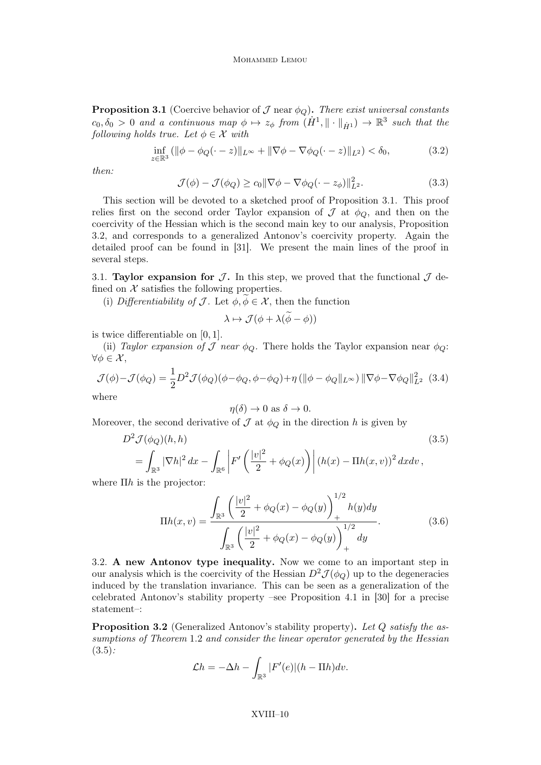MOHAMMED LEMOU

**Proposition 3.1** (Coercive behavior of  $\mathcal{J}$  near  $\phi_Q$ ). There exist universal constants  $c_0, \delta_0 > 0$  and a continuous map  $\phi \mapsto z_\phi$  from  $(H^1, \|\cdot\|_{\dot{H}^1}) \to \mathbb{R}^3$  such that the following holds true. Let  $\phi \in \mathcal{X}$  with

$$
\inf_{z \in \mathbb{R}^3} (||\phi - \phi_Q(\cdot - z)||_{L^\infty} + ||\nabla \phi - \nabla \phi_Q(\cdot - z)||_{L^2}) < \delta_0,
$$
\n(3.2)

then:

$$
\mathcal{J}(\phi) - \mathcal{J}(\phi_Q) \ge c_0 \|\nabla \phi - \nabla \phi_Q(\cdot - z_\phi)\|_{L^2}^2.
$$
 (3.3)

This section will be devoted to a sketched proof of Proposition 3.1. This proof relies first on the second order Taylor expansion of  $\mathcal J$  at  $\phi_{\mathcal O}$ , and then on the coercivity of the Hessian which is the second main key to our analysis, Proposition 3.2, and corresponds to a generalized Antonov's coercivity property. Again the detailed proof can be found in [31]. We present the main lines of the proof in several steps.

3.1. Taylor expansion for  $\mathcal{J}$ . In this step, we proved that the functional  $\mathcal{J}$  defined on  $\mathcal X$  satisfies the following properties.

(i) Differentiability of  $\mathcal J$ . Let  $\phi, \phi \in \mathcal X$ , then the function

$$
\lambda \mapsto \mathcal{J}(\phi + \lambda(\widetilde{\phi} - \phi))
$$

is twice differentiable on [0, 1].

(ii) Taylor expansion of  $\mathcal J$  near  $\phi_{\mathcal O}$ . There holds the Taylor expansion near  $\phi_{\mathcal O}$ :  $\forall \phi \in \mathcal{X},$ 

$$
\mathcal{J}(\phi) - \mathcal{J}(\phi_Q) = \frac{1}{2} D^2 \mathcal{J}(\phi_Q) (\phi - \phi_Q, \phi - \phi_Q) + \eta \left( \| \phi - \phi_Q \|_{L^\infty} \right) \| \nabla \phi - \nabla \phi_Q \|_{L^2}^2 \tag{3.4}
$$
 where

where

$$
\eta(\delta) \to 0 \text{ as } \delta \to 0.
$$

Moreover, the second derivative of  $\mathcal J$  at  $\phi_Q$  in the direction h is given by

$$
D^2 \mathcal{J}(\phi_Q)(h, h) \tag{3.5}
$$
  
= 
$$
\int_{\mathbb{R}^3} |\nabla h|^2 dx - \int_{\mathbb{R}^6} \left| F'\left(\frac{|v|^2}{2} + \phi_Q(x)\right) \right| (h(x) - \Pi h(x, v))^2 dx dv,
$$

where  $\Pi h$  is the projector:

$$
\Pi h(x,v) = \frac{\int_{\mathbb{R}^3} \left(\frac{|v|^2}{2} + \phi_Q(x) - \phi_Q(y)\right)_+^{1/2} h(y) dy}{\int_{\mathbb{R}^3} \left(\frac{|v|^2}{2} + \phi_Q(x) - \phi_Q(y)\right)_+^{1/2} dy}.
$$
(3.6)

3.2. A new Antonov type inequality. Now we come to an important step in our analysis which is the coercivity of the Hessian  $D^2 \mathcal{J}(\phi_Q)$  up to the degeneracies induced by the translation invariance. This can be seen as a generalization of the celebrated Antonov's stability property –see Proposition 4.1 in [30] for a precise statement–:

**Proposition 3.2** (Generalized Antonov's stability property). Let Q satisfy the assumptions of Theorem 1.2 and consider the linear operator generated by the Hessian  $(3.5)$ :

$$
\mathcal{L}h = -\Delta h - \int_{\mathbb{R}^3} |F'(e)| (h - \Pi h) dv.
$$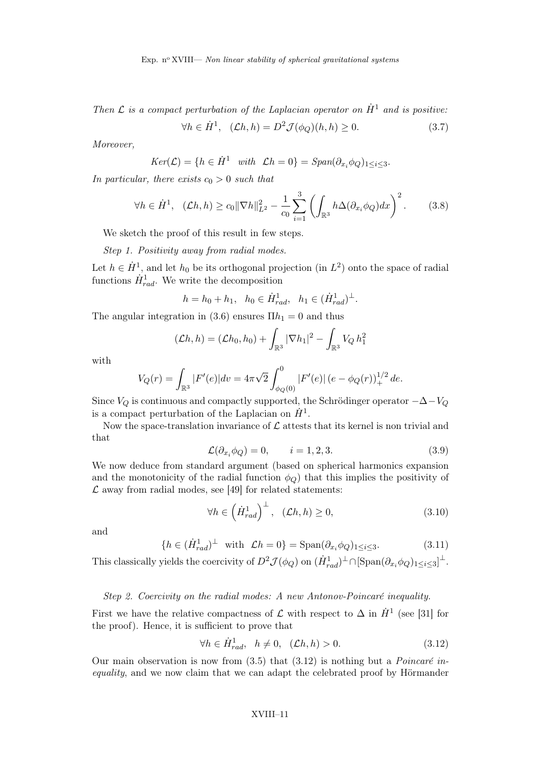Then  $\mathcal L$  is a compact perturbation of the Laplacian operator on  $\dot H^1$  and is positive:

$$
\forall h \in \dot{H}^1, \quad (\mathcal{L}h, h) = D^2 \mathcal{J}(\phi_Q)(h, h) \ge 0. \tag{3.7}
$$

Moreover,

$$
Ker(\mathcal{L}) = \{ h \in \dot{H}^1 \quad with \quad \mathcal{L}h = 0 \} = Span(\partial_{x_i} \phi_Q)_{1 \leq i \leq 3}.
$$

In particular, there exists  $c_0 > 0$  such that

$$
\forall h \in \dot{H}^1, \quad (\mathcal{L}h, h) \ge c_0 \|\nabla h\|_{L^2}^2 - \frac{1}{c_0} \sum_{i=1}^3 \left( \int_{\mathbb{R}^3} h \Delta(\partial_{x_i} \phi_Q) dx \right)^2. \tag{3.8}
$$

We sketch the proof of this result in few steps.

Step 1. Positivity away from radial modes.

Let  $h \in \dot{H}^1$ , and let  $h_0$  be its orthogonal projection (in  $L^2$ ) onto the space of radial functions  $\dot{H}^1_{rad}$ . We write the decomposition

$$
h = h_0 + h_1
$$
,  $h_0 \in \dot{H}^1_{rad}$ ,  $h_1 \in (\dot{H}^1_{rad})^{\perp}$ .

The angular integration in (3.6) ensures  $\Pi h_1 = 0$  and thus

$$
(\mathcal{L}h, h) = (\mathcal{L}h_0, h_0) + \int_{\mathbb{R}^3} |\nabla h_1|^2 - \int_{\mathbb{R}^3} V_Q h_1^2
$$

with

$$
V_Q(r) = \int_{\mathbb{R}^3} |F'(e)| dv = 4\pi \sqrt{2} \int_{\phi_Q(0)}^0 |F'(e)| (e - \phi_Q(r))_+^{1/2} de.
$$

Since  $V_Q$  is continuous and compactly supported, the Schrödinger operator  $-\Delta-V_Q$ is a compact perturbation of the Laplacian on  $\dot{H}^1$ .

Now the space-translation invariance of  $\mathcal L$  attests that its kernel is non trivial and that

$$
\mathcal{L}(\partial_{x_i}\phi_Q) = 0, \qquad i = 1, 2, 3. \tag{3.9}
$$

We now deduce from standard argument (based on spherical harmonics expansion and the monotonicity of the radial function  $\phi_Q$ ) that this implies the positivity of  $\mathcal L$  away from radial modes, see [49] for related statements:

$$
\forall h \in \left(\dot{H}_{rad}^1\right)^{\perp}, \quad (\mathcal{L}h, h) \ge 0,\tag{3.10}
$$

and

$$
\{h \in (\dot{H}^1_{rad})^\perp \text{ with } \mathcal{L}h = 0\} = \text{Span}(\partial_{x_i} \phi_Q)_{1 \le i \le 3}.\tag{3.11}
$$

This classically yields the coercivity of  $D^2 \mathcal{J}(\phi_Q)$  on  $(\dot{H}^1_{rad})^{\perp} \cap [\text{Span}(\partial_{x_i} \phi_Q)_{1 \leq i \leq 3}]^{\perp}$ .

#### Step 2. Coercivity on the radial modes: A new Antonov-Poincaré inequality.

First we have the relative compactness of  $\mathcal L$  with respect to  $\Delta$  in  $\dot H^1$  (see [31] for the proof). Hence, it is sufficient to prove that

$$
\forall h \in \dot{H}^1_{rad}, \quad h \neq 0, \quad (\mathcal{L}h, h) > 0. \tag{3.12}
$$

Our main observation is now from  $(3.5)$  that  $(3.12)$  is nothing but a *Poincaré in*equality, and we now claim that we can adapt the celebrated proof by Hörmander

#### XVIII–11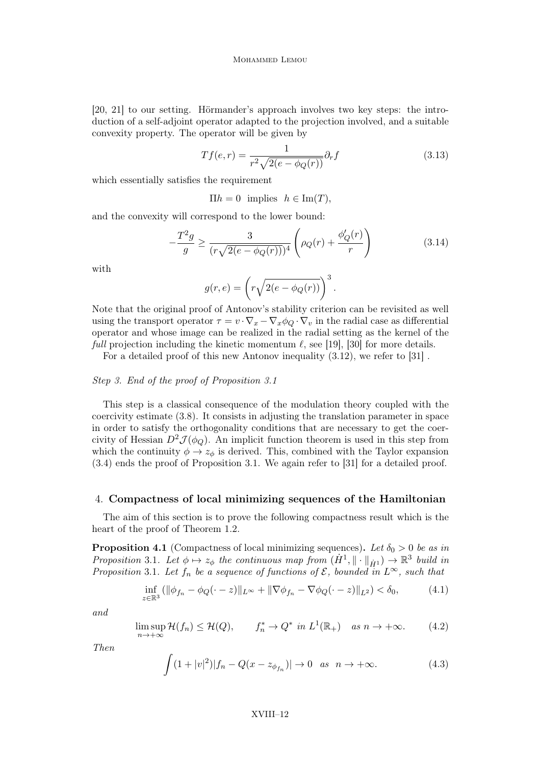[20, 21] to our setting. Hörmander's approach involves two key steps: the introduction of a self-adjoint operator adapted to the projection involved, and a suitable convexity property. The operator will be given by

$$
Tf(e,r) = \frac{1}{r^2 \sqrt{2(e - \phi_Q(r))}} \partial_r f \tag{3.13}
$$

which essentially satisfies the requirement

 $\Pi h = 0$  implies  $h \in \text{Im}(T)$ ,

and the convexity will correspond to the lower bound:

$$
-\frac{T^2g}{g} \ge \frac{3}{(r\sqrt{2(e - \phi_Q(r))})^4} \left(\rho_Q(r) + \frac{\phi_Q'(r)}{r}\right)
$$
(3.14)

with

$$
g(r,e) = \left(r\sqrt{2(e - \phi_Q(r))}\right)^3.
$$

Note that the original proof of Antonov's stability criterion can be revisited as well using the transport operator  $\tau = v \cdot \nabla_x - \nabla_x \phi_Q \cdot \nabla_v$  in the radial case as differential operator and whose image can be realized in the radial setting as the kernel of the *full* projection including the kinetic momentum  $\ell$ , see [19], [30] for more details.

For a detailed proof of this new Antonov inequality (3.12), we refer to [31] .

#### Step 3. End of the proof of Proposition 3.1

This step is a classical consequence of the modulation theory coupled with the coercivity estimate (3.8). It consists in adjusting the translation parameter in space in order to satisfy the orthogonality conditions that are necessary to get the coercivity of Hessian  $D^2 \mathcal{J}(\phi_Q)$ . An implicit function theorem is used in this step from which the continuity  $\phi \rightarrow z_{\phi}$  is derived. This, combined with the Taylor expansion (3.4) ends the proof of Proposition 3.1. We again refer to [31] for a detailed proof.

#### 4. Compactness of local minimizing sequences of the Hamiltonian

The aim of this section is to prove the following compactness result which is the heart of the proof of Theorem 1.2.

**Proposition 4.1** (Compactness of local minimizing sequences). Let  $\delta_0 > 0$  be as in Proposition 3.1. Let  $\phi \mapsto z_{\phi}$  the continuous map from  $(H^1, \|\cdot\|_{\dot{H}^1}) \to \mathbb{R}^3$  build in Proposition 3.1. Let  $f_n$  be a sequence of functions of  $\mathcal{E}$ , bounded in  $L^{\infty}$ , such that

$$
\inf_{z \in \mathbb{R}^3} (\|\phi_{f_n} - \phi_Q(\cdot - z)\|_{L^\infty} + \|\nabla \phi_{f_n} - \nabla \phi_Q(\cdot - z)\|_{L^2}) < \delta_0,\tag{4.1}
$$

and

$$
\limsup_{n \to +\infty} \mathcal{H}(f_n) \le \mathcal{H}(Q), \qquad f_n^* \to Q^* \text{ in } L^1(\mathbb{R}_+) \quad \text{as } n \to +\infty. \tag{4.2}
$$

Then

$$
\int (1+|v|^2)|f_n - Q(x - z_{\phi_{f_n}})| \to 0 \quad \text{as} \quad n \to +\infty. \tag{4.3}
$$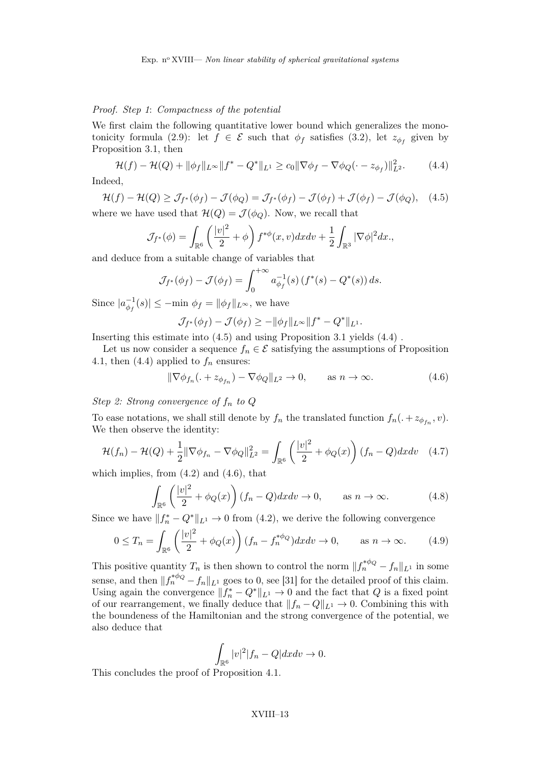#### Proof. Step 1: Compactness of the potential

We first claim the following quantitative lower bound which generalizes the monotonicity formula (2.9): let  $f \in \mathcal{E}$  such that  $\phi_f$  satisfies (3.2), let  $z_{\phi_f}$  given by Proposition 3.1, then

$$
\mathcal{H}(f) - \mathcal{H}(Q) + \|\phi_f\|_{L^\infty} \|f^* - Q^*\|_{L^1} \ge c_0 \|\nabla \phi_f - \nabla \phi_Q(\cdot - z_{\phi_f})\|_{L^2}^2. \tag{4.4}
$$

Indeed,

$$
\mathcal{H}(f) - \mathcal{H}(Q) \ge \mathcal{J}_{f^*}(\phi_f) - \mathcal{J}(\phi_Q) = \mathcal{J}_{f^*}(\phi_f) - \mathcal{J}(\phi_f) + \mathcal{J}(\phi_f) - \mathcal{J}(\phi_Q), \quad (4.5)
$$
  
here we have used that  $\mathcal{H}(Q) = \mathcal{J}(\phi_Q)$ . Now, we recall that

where we have used that  $\mathcal{H}(Q) = \mathcal{J}(\phi_Q)$ . Now, we recall that

$$
\mathcal{J}_{f^*}(\phi) = \int_{\mathbb{R}^6} \left( \frac{|v|^2}{2} + \phi \right) f^{*\phi}(x, v) dx dv + \frac{1}{2} \int_{\mathbb{R}^3} |\nabla \phi|^2 dx.
$$

and deduce from a suitable change of variables that

$$
\mathcal{J}_{f^*}(\phi_f) - \mathcal{J}(\phi_f) = \int_0^{+\infty} a_{\phi_f}^{-1}(s) \left(f^*(s) - Q^*(s)\right) ds.
$$

Since  $|a_{\phi_f}^{-1}(s)| \leq -\min \phi_f = ||\phi_f||_{L^{\infty}}$ , we have

$$
\mathcal{J}_{f^*}(\phi_f)-\mathcal{J}(\phi_f)\geq -\|\phi_f\|_{L^\infty} \|f^*-Q^*\|_{L^1}.
$$

Inserting this estimate into (4.5) and using Proposition 3.1 yields (4.4) .

Let us now consider a sequence  $f_n \in \mathcal{E}$  satisfying the assumptions of Proposition 4.1, then (4.4) applied to  $f_n$  ensures:

$$
\|\nabla \phi_{f_n}(. + z_{\phi_{f_n}}) - \nabla \phi_Q\|_{L^2} \to 0, \qquad \text{as } n \to \infty.
$$
 (4.6)

Step 2: Strong convergence of  $f_n$  to  $Q$ 

To ease notations, we shall still denote by  $f_n$  the translated function  $f_n(.+z_{\phi_{f_n}},v)$ . We then observe the identity:

$$
\mathcal{H}(f_n) - \mathcal{H}(Q) + \frac{1}{2} \|\nabla \phi_{f_n} - \nabla \phi_Q\|_{L^2}^2 = \int_{\mathbb{R}^6} \left(\frac{|v|^2}{2} + \phi_Q(x)\right) (f_n - Q) dx dv \quad (4.7)
$$

which implies, from  $(4.2)$  and  $(4.6)$ , that

$$
\int_{\mathbb{R}^6} \left( \frac{|v|^2}{2} + \phi_Q(x) \right) (f_n - Q) dx dv \to 0, \qquad \text{as } n \to \infty. \tag{4.8}
$$

Since we have  $||f_n^* - Q^*||_{L^1} \to 0$  from (4.2), we derive the following convergence

$$
0 \le T_n = \int_{\mathbb{R}^6} \left( \frac{|v|^2}{2} + \phi_Q(x) \right) (f_n - f_n^{*\phi_Q}) dx dv \to 0, \quad \text{as } n \to \infty. \tag{4.9}
$$

This positive quantity  $T_n$  is then shown to control the norm  $||f_n^{*\phi_Q} - f_n||_{L^1}$  in some sense, and then  $||f_n^{*\phi_Q} - f_n||_{L^1}$  goes to 0, see [31] for the detailed proof of this claim. Using again the convergence  $||f_n^* - Q^*||_{L^1} \to 0$  and the fact that Q is a fixed point of our rearrangement, we finally deduce that  $||f_n - Q||_{L^1} \to 0$ . Combining this with the boundeness of the Hamiltonian and the strong convergence of the potential, we also deduce that

$$
\int_{\mathbb{R}^6} |v|^2 |f_n - Q| dx dv \to 0.
$$

This concludes the proof of Proposition 4.1.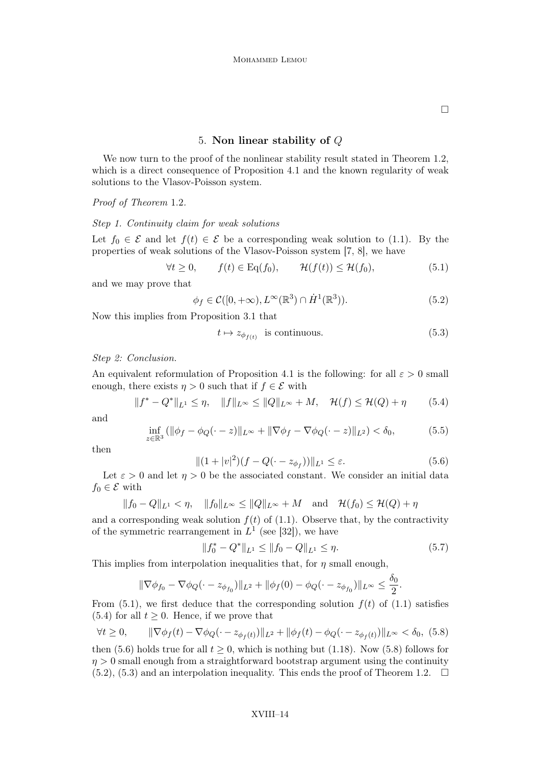$\Box$ 

#### 5. Non linear stability of Q

We now turn to the proof of the nonlinear stability result stated in Theorem 1.2, which is a direct consequence of Proposition 4.1 and the known regularity of weak solutions to the Vlasov-Poisson system.

Proof of Theorem 1.2.

#### Step 1. Continuity claim for weak solutions

Let  $f_0 \in \mathcal{E}$  and let  $f(t) \in \mathcal{E}$  be a corresponding weak solution to (1.1). By the properties of weak solutions of the Vlasov-Poisson system [7, 8], we have

$$
\forall t \ge 0, \qquad f(t) \in \mathrm{Eq}(f_0), \qquad \mathcal{H}(f(t)) \le \mathcal{H}(f_0), \tag{5.1}
$$

and we may prove that

$$
\phi_f \in \mathcal{C}([0, +\infty), L^{\infty}(\mathbb{R}^3) \cap \dot{H}^1(\mathbb{R}^3)).
$$
\n(5.2)

Now this implies from Proposition 3.1 that

$$
t \mapsto z_{\phi_{f(t)}} \quad \text{is continuous.} \tag{5.3}
$$

Step 2: Conclusion.

An equivalent reformulation of Proposition 4.1 is the following: for all  $\varepsilon > 0$  small enough, there exists  $\eta > 0$  such that if  $f \in \mathcal{E}$  with

$$
||f^* - Q^*||_{L^1} \le \eta, \quad ||f||_{L^{\infty}} \le ||Q||_{L^{\infty}} + M, \quad \mathcal{H}(f) \le \mathcal{H}(Q) + \eta \tag{5.4}
$$

and

$$
\inf_{z \in \mathbb{R}^3} (||\phi_f - \phi_Q(\cdot - z)||_{L^\infty} + ||\nabla \phi_f - \nabla \phi_Q(\cdot - z)||_{L^2}) < \delta_0,
$$
\n(5.5)

then

$$
||(1+|v|^2)(f-Q(\cdot-z_{\phi_f}))||_{L^1} \le \varepsilon.
$$
\n(5.6)

Let  $\varepsilon > 0$  and let  $\eta > 0$  be the associated constant. We consider an initial data  $f_0 \in \mathcal{E}$  with

$$
||f_0 - Q||_{L^1} < \eta
$$
,  $||f_0||_{L^{\infty}} \le ||Q||_{L^{\infty}} + M$  and  $\mathcal{H}(f_0) \le \mathcal{H}(Q) + \eta$ 

and a corresponding weak solution  $f(t)$  of (1.1). Observe that, by the contractivity of the symmetric rearrangement in  $L^1$  (see [32]), we have

$$
||f_0^* - Q^*||_{L^1} \le ||f_0 - Q||_{L^1} \le \eta.
$$
\n(5.7)

This implies from interpolation inequalities that, for  $\eta$  small enough,

$$
\|\nabla \phi_{f_0} - \nabla \phi_Q(\cdot - z_{\phi_{f_0}})\|_{L^2} + \|\phi_f(0) - \phi_Q(\cdot - z_{\phi_{f_0}})\|_{L^\infty} \le \frac{\delta_0}{2}.
$$

From  $(5.1)$ , we first deduce that the corresponding solution  $f(t)$  of  $(1.1)$  satisfies (5.4) for all  $t \geq 0$ . Hence, if we prove that

$$
\forall t \ge 0, \qquad \|\nabla \phi_f(t) - \nabla \phi_Q(\cdot - z_{\phi_f(t)})\|_{L^2} + \|\phi_f(t) - \phi_Q(\cdot - z_{\phi_f(t)})\|_{L^\infty} < \delta_0, \tag{5.8}
$$

then (5.6) holds true for all  $t \geq 0$ , which is nothing but (1.18). Now (5.8) follows for  $\eta > 0$  small enough from a straightforward bootstrap argument using the continuity  $(5.2)$ ,  $(5.3)$  and an interpolation inequality. This ends the proof of Theorem 1.2.  $\Box$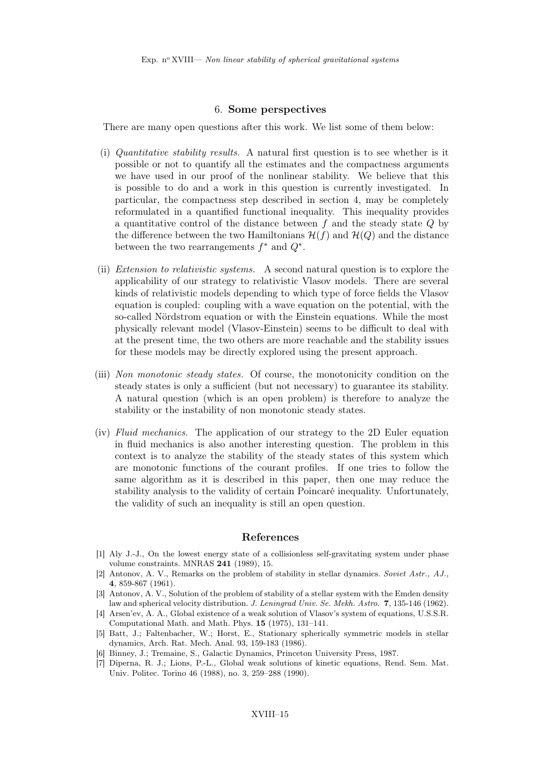#### 6. Some perspectives

There are many open questions after this work. We list some of them below:

- (i) Quantitative stability results. A natural first question is to see whether is it possible or not to quantify all the estimates and the compactness arguments we have used in our proof of the nonlinear stability. We believe that this is possible to do and a work in this question is currently investigated. In particular, the compactness step described in section 4, may be completely reformulated in a quantified functional inequality. This inequality provides a quantitative control of the distance between  $f$  and the steady state  $Q$  by the difference between the two Hamiltonians  $\mathcal{H}(f)$  and  $\mathcal{H}(Q)$  and the distance between the two rearrangements  $f^*$  and  $Q^*$ .
- (ii) Extension to relativistic systems. A second natural question is to explore the applicability of our strategy to relativistic Vlasov models. There are several kinds of relativistic models depending to which type of force fields the Vlasov equation is coupled: coupling with a wave equation on the potential, with the so-called Nördstrom equation or with the Einstein equations. While the most physically relevant model (Vlasov-Einstein) seems to be difficult to deal with at the present time, the two others are more reachable and the stability issues for these models may be directly explored using the present approach.
- (iii) Non monotonic steady states. Of course, the monotonicity condition on the steady states is only a sufficient (but not necessary) to guarantee its stability. A natural question (which is an open problem) is therefore to analyze the stability or the instability of non monotonic steady states.
- (iv) Fluid mechanics. The application of our strategy to the 2D Euler equation in fluid mechanics is also another interesting question. The problem in this context is to analyze the stability of the steady states of this system which are monotonic functions of the courant profiles. If one tries to follow the same algorithm as it is described in this paper, then one may reduce the stability analysis to the validity of certain Poincaré inequality. Unfortunately, the validity of such an inequality is still an open question.

#### References

- [1] Aly J.-J., On the lowest energy state of a collisionless self-gravitating system under phase volume constraints. MNRAS 241 (1989), 15.
- [2] Antonov, A. V., Remarks on the problem of stability in stellar dynamics. Soviet Astr., AJ., 4, 859-867 (1961).
- [3] Antonov, A. V., Solution of the problem of stability of a stellar system with the Emden density law and spherical velocity distribution. J. Leningrad Univ. Se. Mekh. Astro. 7, 135-146 (1962).
- [4] Arsen'ev, A. A., Global existence of a weak solution of Vlasov's system of equations, U.S.S.R. Computational Math. and Math. Phys. 15 (1975), 131–141.
- [5] Batt, J.; Faltenbacher, W.; Horst, E., Stationary spherically symmetric models in stellar dynamics, Arch. Rat. Mech. Anal. 93, 159-183 (1986).
- [6] Binney, J.; Tremaine, S., Galactic Dynamics, Princeton University Press, 1987.
- [7] Diperna, R. J.; Lions, P.-L., Global weak solutions of kinetic equations, Rend. Sem. Mat. Univ. Politec. Torino 46 (1988), no. 3, 259–288 (1990).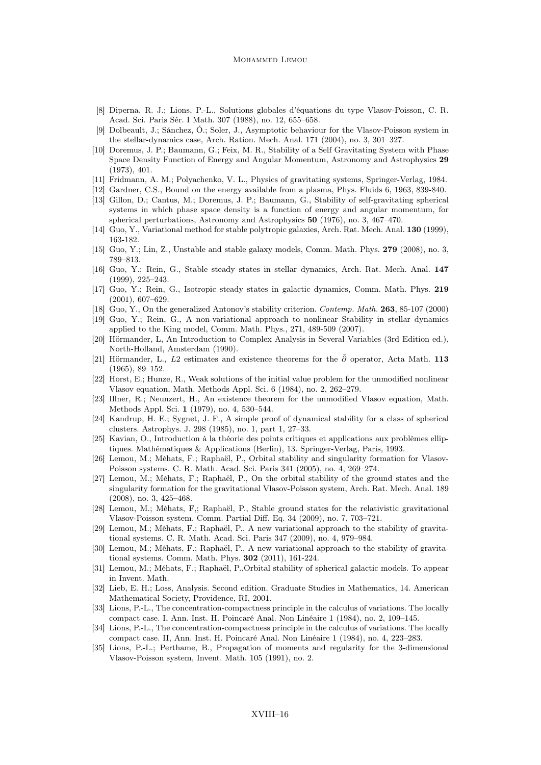#### MOHAMMED LEMOU

- [8] Diperna, R. J.; Lions, P.-L., Solutions globales d'équations du type Vlasov-Poisson, C. R. Acad. Sci. Paris Sér. I Math. 307 (1988), no. 12, 655–658.
- [9] Dolbeault, J.; Sánchez, Ó.; Soler, J., Asymptotic behaviour for the Vlasov-Poisson system in the stellar-dynamics case, Arch. Ration. Mech. Anal. 171 (2004), no. 3, 301–327.
- [10] Doremus, J. P.; Baumann, G.; Feix, M. R., Stability of a Self Gravitating System with Phase Space Density Function of Energy and Angular Momentum, Astronomy and Astrophysics 29 (1973), 401.
- [11] Fridmann, A. M.; Polyachenko, V. L., Physics of gravitating systems, Springer-Verlag, 1984.
- [12] Gardner, C.S., Bound on the energy available from a plasma, Phys. Fluids 6, 1963, 839-840.
- [13] Gillon, D.; Cantus, M.; Doremus, J. P.; Baumann, G., Stability of self-gravitating spherical systems in which phase space density is a function of energy and angular momentum, for spherical perturbations, Astronomy and Astrophysics 50 (1976), no. 3, 467–470.
- [14] Guo, Y., Variational method for stable polytropic galaxies, Arch. Rat. Mech. Anal. 130 (1999), 163-182.
- [15] Guo, Y.; Lin, Z., Unstable and stable galaxy models, Comm. Math. Phys. 279 (2008), no. 3, 789–813.
- [16] Guo, Y.; Rein, G., Stable steady states in stellar dynamics, Arch. Rat. Mech. Anal. 147 (1999), 225–243.
- [17] Guo, Y.; Rein, G., Isotropic steady states in galactic dynamics, Comm. Math. Phys. 219 (2001), 607–629.
- [18] Guo, Y., On the generalized Antonov's stability criterion. Contemp. Math. 263, 85-107 (2000)
- [19] Guo, Y.; Rein, G., A non-variational approach to nonlinear Stability in stellar dynamics applied to the King model, Comm. Math. Phys., 271, 489-509 (2007).
- [20] Hörmander, L, An Introduction to Complex Analysis in Several Variables (3rd Edition ed.), North-Holland, Amsterdam (1990).
- [21] Hörmander, L., L2 estimates and existence theorems for the  $\bar{\partial}$  operator, Acta Math. 113 (1965), 89–152.
- [22] Horst, E.; Hunze, R., Weak solutions of the initial value problem for the unmodified nonlinear Vlasov equation, Math. Methods Appl. Sci. 6 (1984), no. 2, 262–279.
- [23] Illner, R.; Neunzert, H., An existence theorem for the unmodified Vlasov equation, Math. Methods Appl. Sci. 1 (1979), no. 4, 530–544.
- [24] Kandrup, H. E.; Sygnet, J. F., A simple proof of dynamical stability for a class of spherical clusters. Astrophys. J. 298 (1985), no. 1, part 1, 27–33.
- [25] Kavian, O., Introduction à la théorie des points critiques et applications aux problèmes elliptiques. Mathématiques & Applications (Berlin), 13. Springer-Verlag, Paris, 1993.
- [26] Lemou, M.; Méhats, F.; Raphaël, P., Orbital stability and singularity formation for Vlasov-Poisson systems. C. R. Math. Acad. Sci. Paris 341 (2005), no. 4, 269–274.
- [27] Lemou, M.; Méhats, F.; Raphaël, P., On the orbital stability of the ground states and the singularity formation for the gravitational Vlasov-Poisson system, Arch. Rat. Mech. Anal. 189 (2008), no. 3, 425–468.
- [28] Lemou, M.; Méhats, F,; Raphaël, P., Stable ground states for the relativistic gravitational Vlasov-Poisson system, Comm. Partial Diff. Eq. 34 (2009), no. 7, 703–721.
- [29] Lemou, M.; Méhats, F.; Raphaël, P., A new variational approach to the stability of gravitational systems. C. R. Math. Acad. Sci. Paris 347 (2009), no. 4, 979–984.
- [30] Lemou, M.; Méhats, F.; Raphaël, P., A new variational approach to the stability of gravitational systems. Comm. Math. Phys. 302 (2011), 161-224.
- [31] Lemou, M.; Méhats, F.; Raphaël, P.,Orbital stability of spherical galactic models. To appear in Invent. Math.
- [32] Lieb, E. H.; Loss, Analysis. Second edition. Graduate Studies in Mathematics, 14. American Mathematical Society, Providence, RI, 2001.
- [33] Lions, P.-L., The concentration-compactness principle in the calculus of variations. The locally compact case. I, Ann. Inst. H. Poincaré Anal. Non Linéaire 1 (1984), no. 2, 109–145.
- [34] Lions, P.-L., The concentration-compactness principle in the calculus of variations. The locally compact case. II, Ann. Inst. H. Poincaré Anal. Non Linéaire 1 (1984), no. 4, 223–283.
- [35] Lions, P.-L.; Perthame, B., Propagation of moments and regularity for the 3-dimensional Vlasov-Poisson system, Invent. Math. 105 (1991), no. 2.